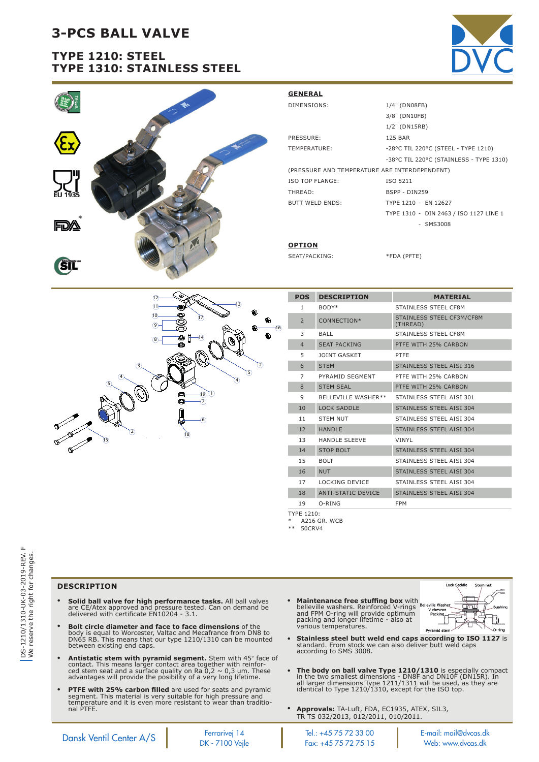# **3-PCS BALL VALVE**

## **TYPE 1210: STEEL TYPE 1310: STAINLESS STEEL**





| <b>GENERAL</b>                                |                                         |  |  |  |  |  |  |  |  |
|-----------------------------------------------|-----------------------------------------|--|--|--|--|--|--|--|--|
| DIMENSIONS:                                   | 1/4" (DN08FB)                           |  |  |  |  |  |  |  |  |
|                                               | 3/8" (DN10FB)                           |  |  |  |  |  |  |  |  |
|                                               | 1/2" (DN15RB)                           |  |  |  |  |  |  |  |  |
| PRESSURE:                                     | <b>125 BAR</b>                          |  |  |  |  |  |  |  |  |
| TEMPERATURE:                                  | -28°C TIL 220°C (STEEL - TYPE 1210)     |  |  |  |  |  |  |  |  |
|                                               | -38°C TIL 220°C (STAINLESS - TYPE 1310) |  |  |  |  |  |  |  |  |
| (PRESSURE AND TEMPERATURE ARE INTERDEPENDENT) |                                         |  |  |  |  |  |  |  |  |
| ISO TOP FLANGE:                               | ISO 5211                                |  |  |  |  |  |  |  |  |
| THREAD:                                       | BSPP - DIN259                           |  |  |  |  |  |  |  |  |
| <b>BUTT WELD ENDS:</b>                        | TYPE 1210 - EN 12627                    |  |  |  |  |  |  |  |  |
|                                               | TYPE 1310 - DIN 2463 / ISO 1127 LINE 1  |  |  |  |  |  |  |  |  |
|                                               | $-$ SMS3008                             |  |  |  |  |  |  |  |  |
|                                               |                                         |  |  |  |  |  |  |  |  |
| <b>OPTION</b>                                 |                                         |  |  |  |  |  |  |  |  |

SEAT/PACKING: \*FDA (PFTE)

| <b>POS</b>        | <b>DESCRIPTION</b>         | <b>MATERIAL</b>                       |
|-------------------|----------------------------|---------------------------------------|
| $\mathbf{1}$      | BODY*                      | STAINLESS STEEL CF8M                  |
| $\overline{2}$    | CONNECTION*                | STAINLESS STEEL CF3M/CF8M<br>(THREAD) |
| 3                 | <b>BALL</b>                | STAINLESS STEEL CF8M                  |
| $\overline{4}$    | <b>SEAT PACKING</b>        | PTFE WITH 25% CARBON                  |
| 5                 | <b>JOINT GASKET</b>        | PTFE                                  |
| 6                 | <b>STEM</b>                | STAINLESS STEEL AISI 316              |
| $\overline{7}$    | PYRAMID SEGMENT            | PTFE WITH 25% CARBON                  |
| 8                 | <b>STEM SEAL</b>           | PTFE WITH 25% CARBON                  |
| 9                 | <b>BELLEVILLE WASHER**</b> | STAINLESS STEEL AISI 301              |
| 10                | <b>LOCK SADDLE</b>         | STAINLESS STEEL AISI 304              |
| 11                | <b>STEM NUT</b>            | STAINLESS STEEL AISI 304              |
| 12                | <b>HANDLE</b>              | STAINLESS STEEL AISI 304              |
| 13                | <b>HANDLE SLEEVE</b>       | <b>VINYL</b>                          |
| 14                | <b>STOP BOLT</b>           | STAINLESS STEEL AISI 304              |
| 15                | <b>BOLT</b>                | STAINLESS STEEL AISI 304              |
| 16                | <b>NUT</b>                 | STAINLESS STEEL AISI 304              |
| 17                | <b>LOCKING DEVICE</b>      | STAINLESS STEEL AISI 304              |
| 18                | <b>ANTI-STATIC DEVICE</b>  | <b>STAINLESS STEEL AISI 304</b>       |
| 19                | $O-RING$                   | <b>FPM</b>                            |
| <b>TYPE 1210.</b> |                            |                                       |

TYPE 1210: \* A216 GR. WCB

\*\* 50CRV4

### **DESCRIPTION**

• **Solid ball valve for high performance tasks.** All ball valves<br>are CE/Atex approved and pressure tested. Can on demand be<br>delivered with certificate EN10204 - 3.1.

2

18

19

6

 $\overline{\text{T}}$  $\widecheck{\sigma}$ 

17

14

13

16

2  $\circledS$  $\circledA$ 

3

10  $(1)$ 

8  $(9)$ 

 $(12)$ 

5

4

15

- **Bolt circle diameter and face to face dimensions** of the body is equal to Worcester, Valtac and Mecafrance from DN8 to DN65 RB. This means that our type 1210/1310 can be mounted between existing end caps.
- **Antistatic stem with pyramid segment.** Stem with 45° face of<br>contact. This means larger contact area together with reinfor-<br>ced stem seat and a surface quality on Ra 0,2 ~ 0,3 um. These<br>advantages will provide the posibil
- **PTFE with 25% carbon filled** are used for seats and pyramid<br>segment. This material is very suitable for high pressure and<br>temperature and it is even more resistant to wear than traditio-<br>nal PTFE.
- **Maintenance free stuffing box** with<br>belleville washers. Reinforced V-rings<br>and FPM O-ring will provide optimum<br>packing and longer lifetime - also at<br>various temperatures.



- **Stainless steel butt weld end caps according to ISO 1127** is standard. From stock we can also deliver butt weld caps according to SMS 3008.
- **The body on ball valve Type 1210/1310** is especially compact<br>in the two smallest dimensions - DN8F and DN10F (DN15R). In<br>all larger dimensions Type 1211/1311 will be used, as they are<br>identical to Type 1210/1310, except f
- **Approvals:** TA-Luft, FDA, EC1935, ATEX, SIL3, TR TS 032/2013, 012/2011, 010/2011.

Dansk Ventil Center A/S<br>DK - 7100 Vejle Fax: +45 75 72 75 15 Web: www.dvcas.dk